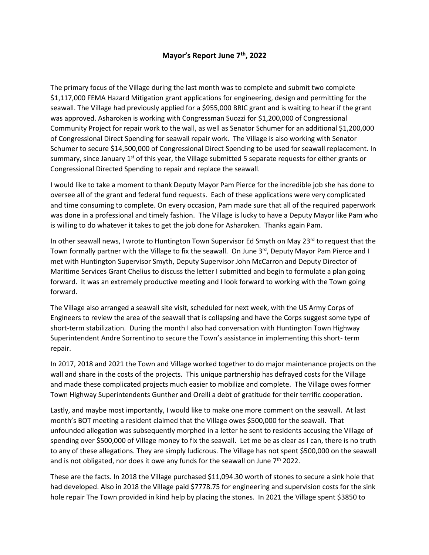## **Mayor's Report June 7th, 2022**

The primary focus of the Village during the last month was to complete and submit two complete \$1,117,000 FEMA Hazard Mitigation grant applications for engineering, design and permitting for the seawall. The Village had previously applied for a \$955,000 BRIC grant and is waiting to hear if the grant was approved. Asharoken is working with Congressman Suozzi for \$1,200,000 of Congressional Community Project for repair work to the wall, as well as Senator Schumer for an additional \$1,200,000 of Congressional Direct Spending for seawall repair work. The Village is also working with Senator Schumer to secure \$14,500,000 of Congressional Direct Spending to be used for seawall replacement. In summary, since January  $1<sup>st</sup>$  of this year, the Village submitted 5 separate requests for either grants or Congressional Directed Spending to repair and replace the seawall.

I would like to take a moment to thank Deputy Mayor Pam Pierce for the incredible job she has done to oversee all of the grant and federal fund requests. Each of these applications were very complicated and time consuming to complete. On every occasion, Pam made sure that all of the required paperwork was done in a professional and timely fashion. The Village is lucky to have a Deputy Mayor like Pam who is willing to do whatever it takes to get the job done for Asharoken. Thanks again Pam.

In other seawall news, I wrote to Huntington Town Supervisor Ed Smyth on May 23<sup>rd</sup> to request that the Town formally partner with the Village to fix the seawall. On June 3rd, Deputy Mayor Pam Pierce and I met with Huntington Supervisor Smyth, Deputy Supervisor John McCarron and Deputy Director of Maritime Services Grant Chelius to discuss the letter I submitted and begin to formulate a plan going forward. It was an extremely productive meeting and I look forward to working with the Town going forward.

The Village also arranged a seawall site visit, scheduled for next week, with the US Army Corps of Engineers to review the area of the seawall that is collapsing and have the Corps suggest some type of short-term stabilization. During the month I also had conversation with Huntington Town Highway Superintendent Andre Sorrentino to secure the Town's assistance in implementing this short- term repair.

In 2017, 2018 and 2021 the Town and Village worked together to do major maintenance projects on the wall and share in the costs of the projects. This unique partnership has defrayed costs for the Village and made these complicated projects much easier to mobilize and complete. The Village owes former Town Highway Superintendents Gunther and Orelli a debt of gratitude for their terrific cooperation.

Lastly, and maybe most importantly, I would like to make one more comment on the seawall. At last month's BOT meeting a resident claimed that the Village owes \$500,000 for the seawall. That unfounded allegation was subsequently morphed in a letter he sent to residents accusing the Village of spending over \$500,000 of Village money to fix the seawall. Let me be as clear as I can, there is no truth to any of these allegations. They are simply ludicrous. The Village has not spent \$500,000 on the seawall and is not obligated, nor does it owe any funds for the seawall on June  $7<sup>th</sup>$  2022.

These are the facts. In 2018 the Village purchased \$11,094.30 worth of stones to secure a sink hole that had developed. Also in 2018 the Village paid \$7778.75 for engineering and supervision costs for the sink hole repair The Town provided in kind help by placing the stones. In 2021 the Village spent \$3850 to